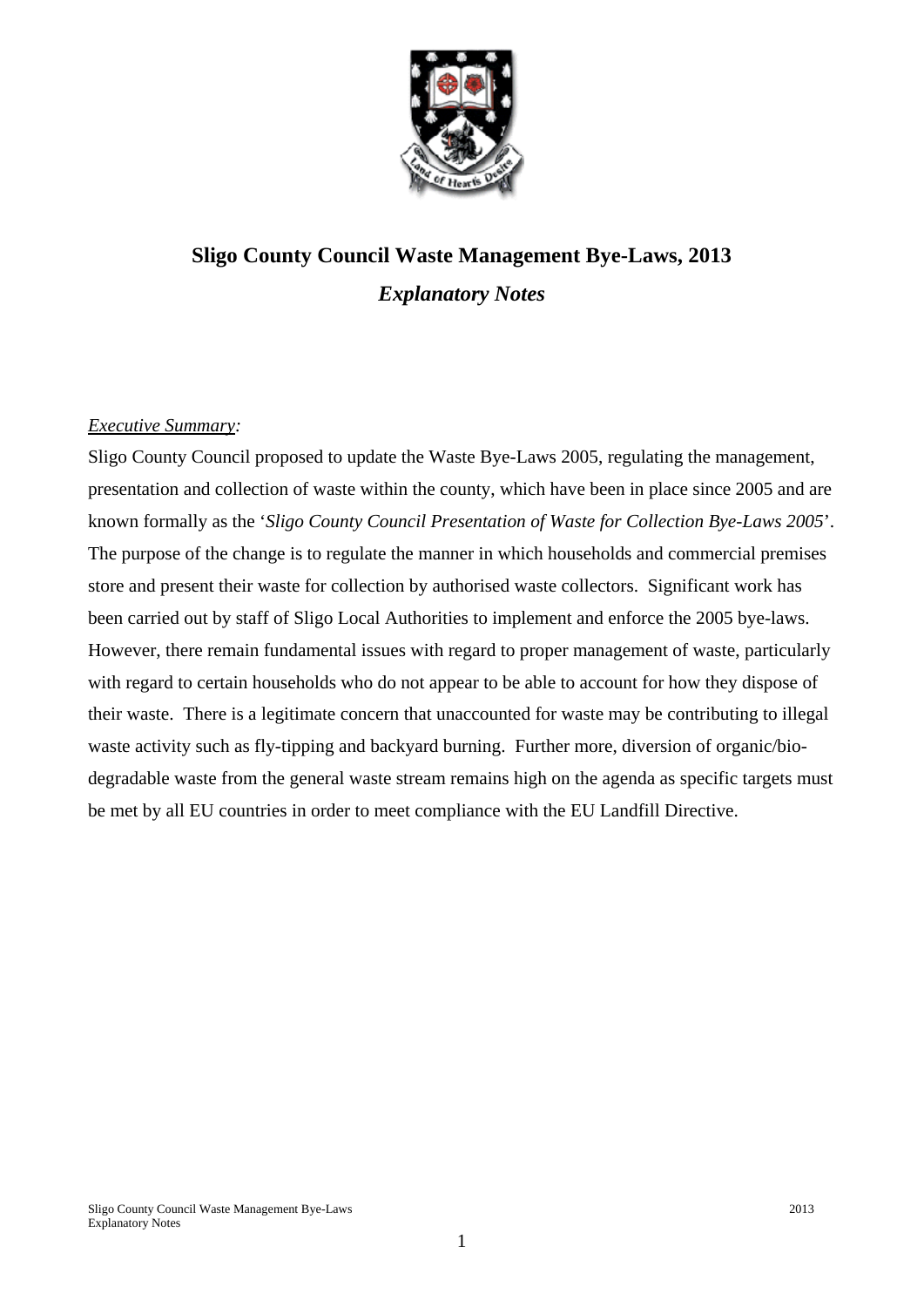

# **Sligo County Council Waste Management Bye-Laws, 2013**  *Explanatory Notes*

## *Executive Summary:*

Sligo County Council proposed to update the Waste Bye-Laws 2005, regulating the management, presentation and collection of waste within the county, which have been in place since 2005 and are known formally as the '*Sligo County Council Presentation of Waste for Collection Bye-Laws 2005*'. The purpose of the change is to regulate the manner in which households and commercial premises store and present their waste for collection by authorised waste collectors. Significant work has been carried out by staff of Sligo Local Authorities to implement and enforce the 2005 bye-laws. However, there remain fundamental issues with regard to proper management of waste, particularly with regard to certain households who do not appear to be able to account for how they dispose of their waste. There is a legitimate concern that unaccounted for waste may be contributing to illegal waste activity such as fly-tipping and backyard burning. Further more, diversion of organic/biodegradable waste from the general waste stream remains high on the agenda as specific targets must be met by all EU countries in order to meet compliance with the EU Landfill Directive.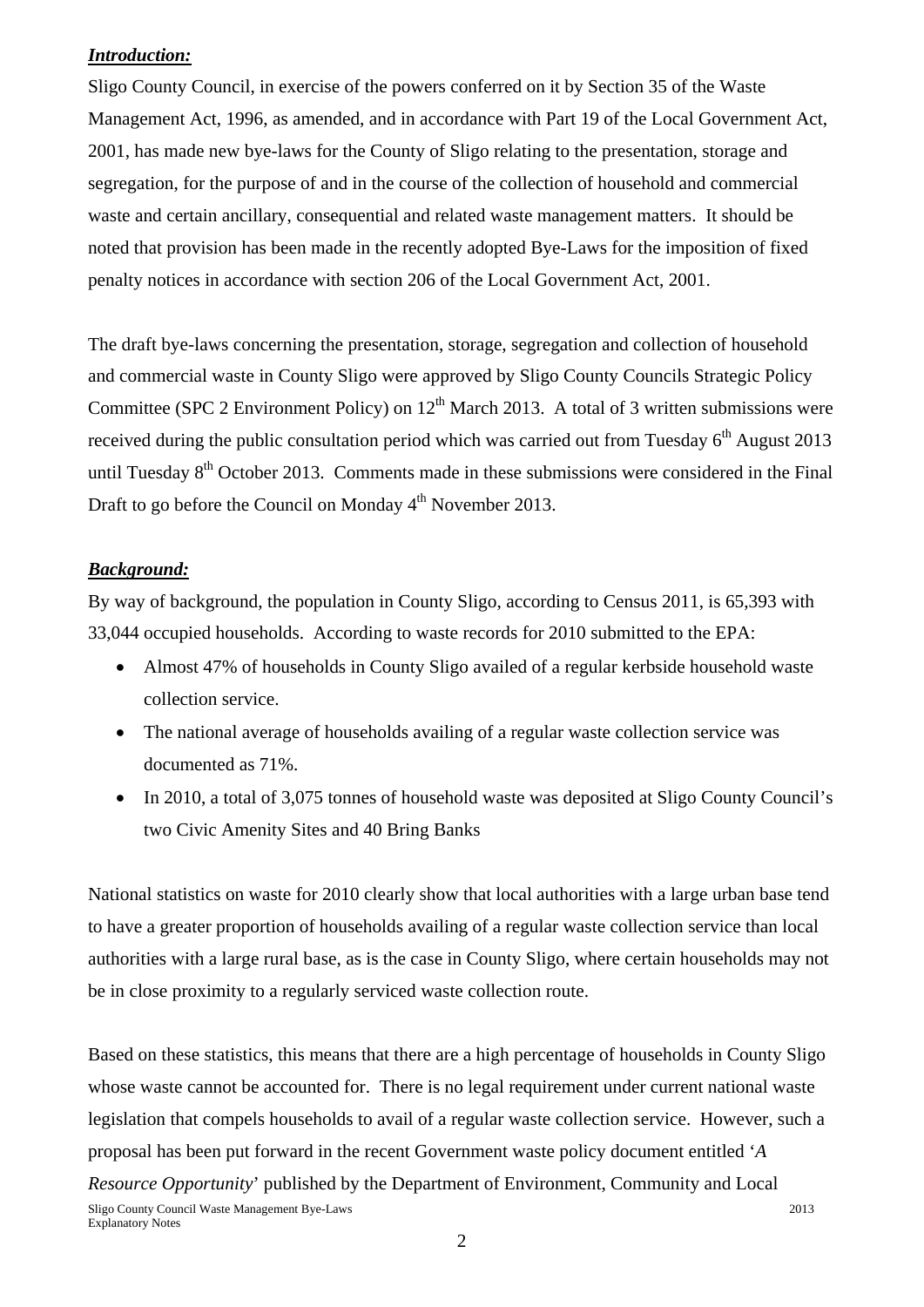#### *Introduction:*

Sligo County Council, in exercise of the powers conferred on it by Section 35 of the Waste Management Act, 1996, as amended, and in accordance with Part 19 of the Local Government Act, 2001, has made new bye-laws for the County of Sligo relating to the presentation, storage and segregation, for the purpose of and in the course of the collection of household and commercial waste and certain ancillary, consequential and related waste management matters. It should be noted that provision has been made in the recently adopted Bye-Laws for the imposition of fixed penalty notices in accordance with section 206 of the Local Government Act, 2001.

The draft bye-laws concerning the presentation, storage, segregation and collection of household and commercial waste in County Sligo were approved by Sligo County Councils Strategic Policy Committee (SPC 2 Environment Policy) on  $12<sup>th</sup>$  March 2013. A total of 3 written submissions were received during the public consultation period which was carried out from Tuesday  $6<sup>th</sup>$  August 2013 until Tuesday  $8<sup>th</sup>$  October 2013. Comments made in these submissions were considered in the Final Draft to go before the Council on Monday 4<sup>th</sup> November 2013.

## *Background:*

By way of background, the population in County Sligo, according to Census 2011, is 65,393 with 33,044 occupied households. According to waste records for 2010 submitted to the EPA:

- Almost 47% of households in County Sligo availed of a regular kerbside household waste collection service.
- The national average of households availing of a regular waste collection service was documented as 71%.
- In 2010, a total of 3,075 tonnes of household waste was deposited at Sligo County Council's two Civic Amenity Sites and 40 Bring Banks

National statistics on waste for 2010 clearly show that local authorities with a large urban base tend to have a greater proportion of households availing of a regular waste collection service than local authorities with a large rural base, as is the case in County Sligo, where certain households may not be in close proximity to a regularly serviced waste collection route.

Sligo County Council Waste Management Bye-Laws 2013 Based on these statistics, this means that there are a high percentage of households in County Sligo whose waste cannot be accounted for. There is no legal requirement under current national waste legislation that compels households to avail of a regular waste collection service. However, such a proposal has been put forward in the recent Government waste policy document entitled '*A Resource Opportunity*' published by the Department of Environment, Community and Local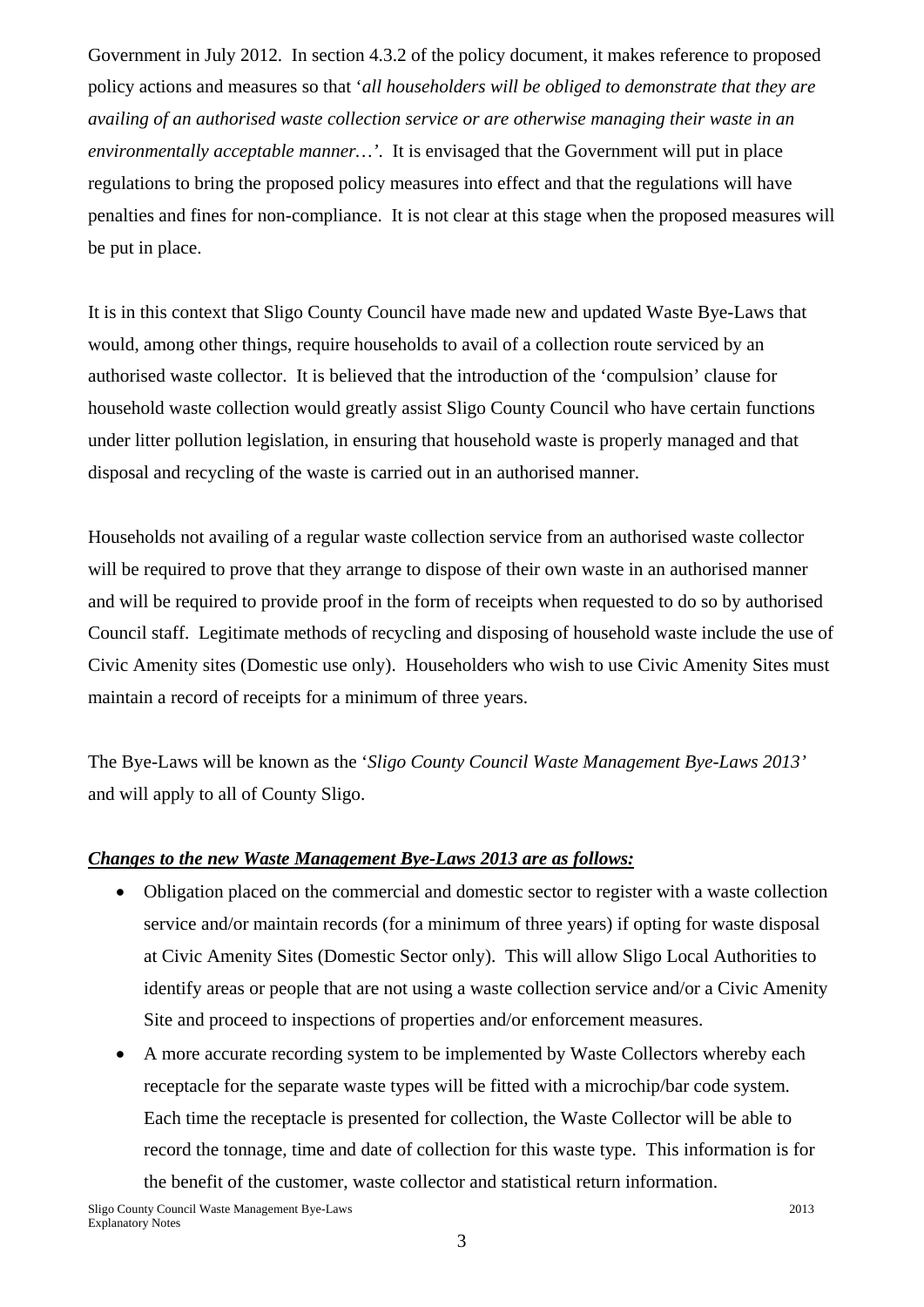Government in July 2012. In section 4.3.2 of the policy document, it makes reference to proposed policy actions and measures so that '*all householders will be obliged to demonstrate that they are availing of an authorised waste collection service or are otherwise managing their waste in an environmentally acceptable manner…'*. It is envisaged that the Government will put in place regulations to bring the proposed policy measures into effect and that the regulations will have penalties and fines for non-compliance. It is not clear at this stage when the proposed measures will be put in place.

It is in this context that Sligo County Council have made new and updated Waste Bye-Laws that would, among other things, require households to avail of a collection route serviced by an authorised waste collector. It is believed that the introduction of the 'compulsion' clause for household waste collection would greatly assist Sligo County Council who have certain functions under litter pollution legislation, in ensuring that household waste is properly managed and that disposal and recycling of the waste is carried out in an authorised manner.

Households not availing of a regular waste collection service from an authorised waste collector will be required to prove that they arrange to dispose of their own waste in an authorised manner and will be required to provide proof in the form of receipts when requested to do so by authorised Council staff. Legitimate methods of recycling and disposing of household waste include the use of Civic Amenity sites (Domestic use only). Householders who wish to use Civic Amenity Sites must maintain a record of receipts for a minimum of three years.

The Bye-Laws will be known as the '*Sligo County Council Waste Management Bye-Laws 2013'* and will apply to all of County Sligo.

#### *Changes to the new Waste Management Bye-Laws 2013 are as follows:*

- Obligation placed on the commercial and domestic sector to register with a waste collection service and/or maintain records (for a minimum of three years) if opting for waste disposal at Civic Amenity Sites (Domestic Sector only). This will allow Sligo Local Authorities to identify areas or people that are not using a waste collection service and/or a Civic Amenity Site and proceed to inspections of properties and/or enforcement measures.
- A more accurate recording system to be implemented by Waste Collectors whereby each receptacle for the separate waste types will be fitted with a microchip/bar code system. Each time the receptacle is presented for collection, the Waste Collector will be able to record the tonnage, time and date of collection for this waste type. This information is for the benefit of the customer, waste collector and statistical return information.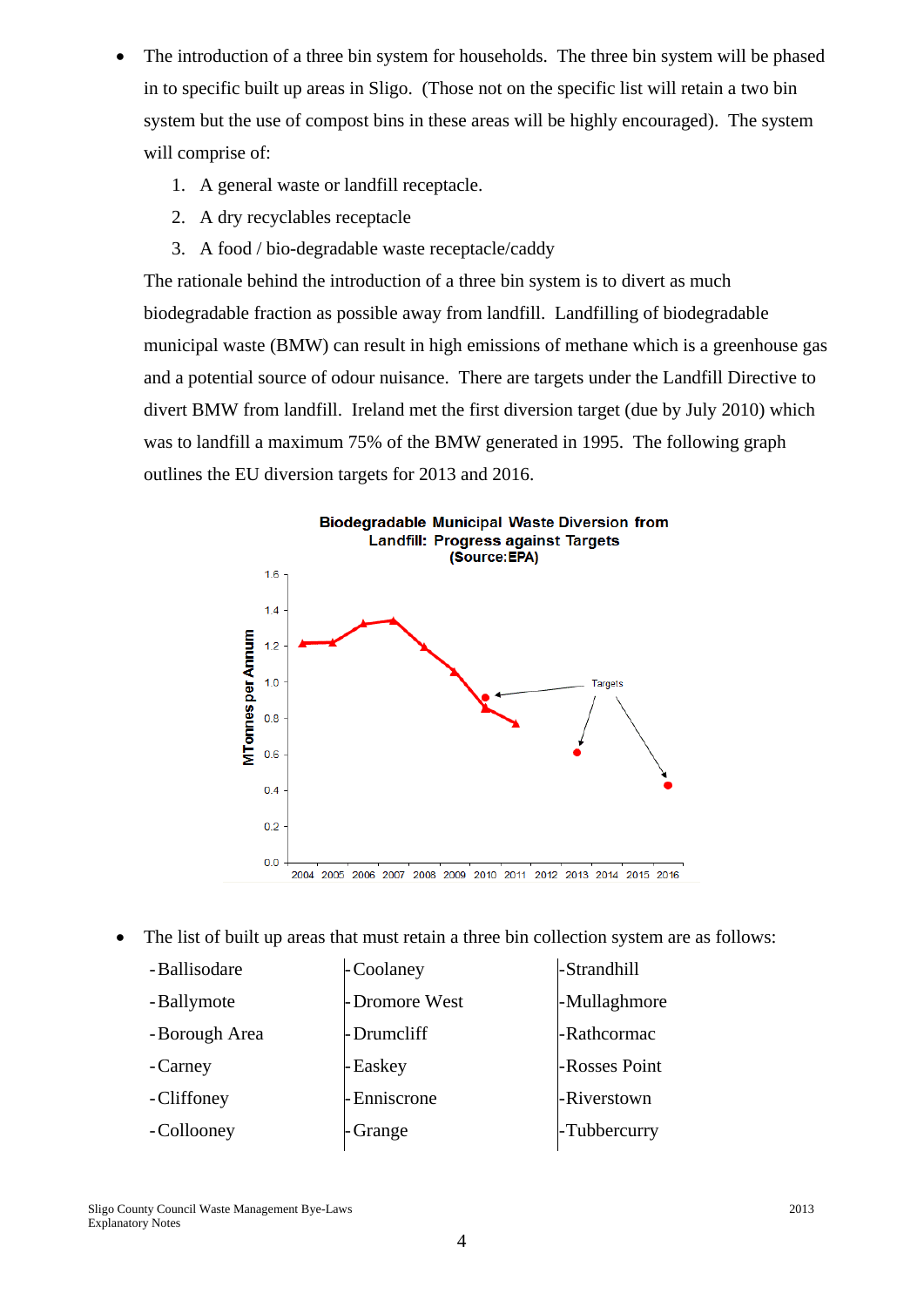- The introduction of a three bin system for households. The three bin system will be phased in to specific built up areas in Sligo. (Those not on the specific list will retain a two bin system but the use of compost bins in these areas will be highly encouraged). The system will comprise of:
	- 1. A general waste or landfill receptacle.
	- 2. A dry recyclables receptacle
	- 3. A food / bio-degradable waste receptacle/caddy

The rationale behind the introduction of a three bin system is to divert as much biodegradable fraction as possible away from landfill. Landfilling of biodegradable municipal waste (BMW) can result in high emissions of methane which is a greenhouse gas and a potential source of odour nuisance. There are targets under the Landfill Directive to divert BMW from landfill. Ireland met the first diversion target (due by July 2010) which was to landfill a maximum 75% of the BMW generated in 1995. The following graph outlines the EU diversion targets for 2013 and 2016.



• The list of built up areas that must retain a three bin collection system are as follows:

| - Ballisodare  | - Coolaney    | -Strandhill   |
|----------------|---------------|---------------|
| - Ballymote    | -Dromore West | -Mullaghmore  |
| - Borough Area | -Drumcliff    | -Rathcormac   |
| - Carney       | - Easkey      | -Rosses Point |
| - Cliffoney    | - Enniscrone  | -Riverstown   |
| - Collooney    | Grange        | -Tubbercurry  |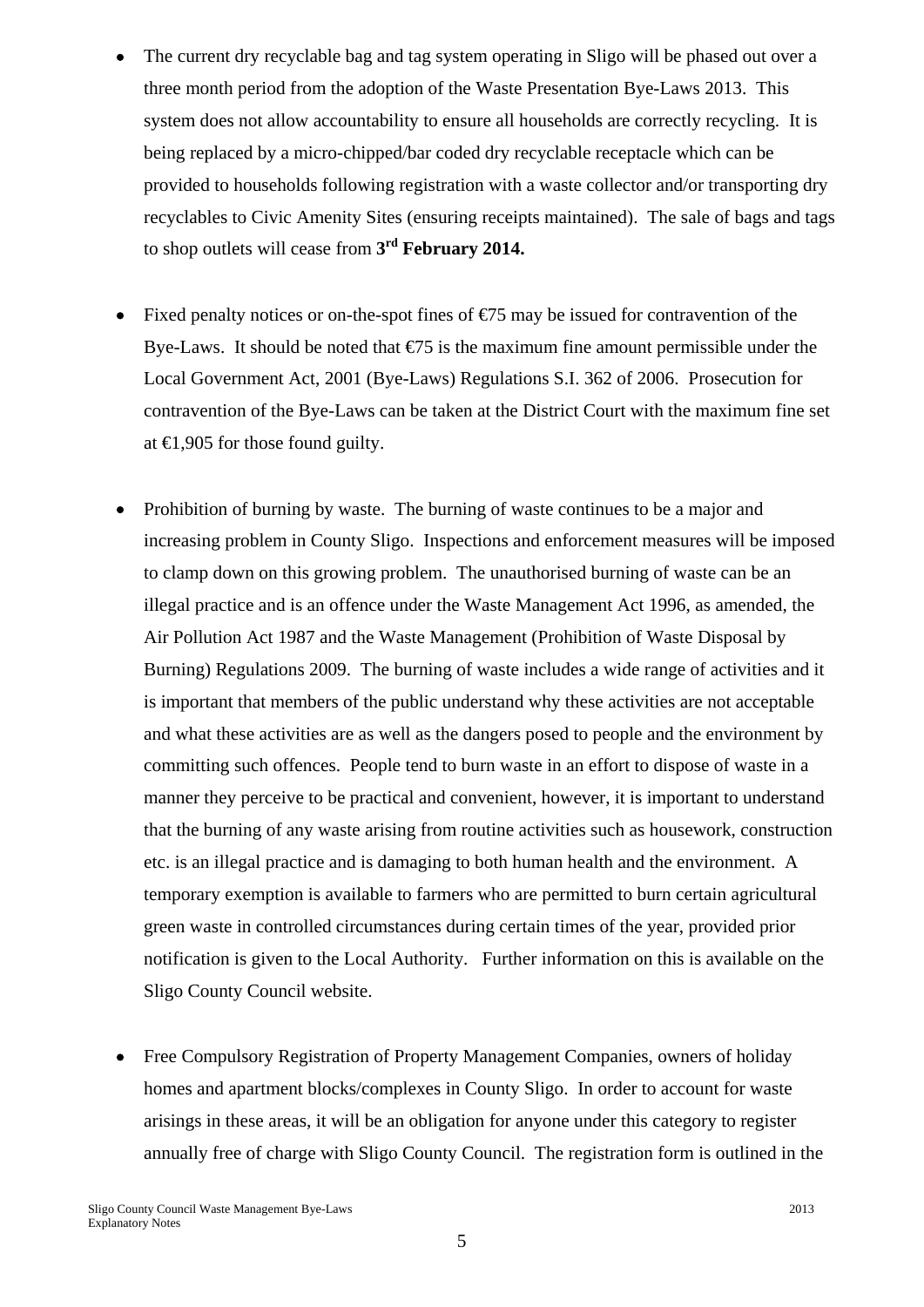- The current dry recyclable bag and tag system operating in Sligo will be phased out over a three month period from the adoption of the Waste Presentation Bye-Laws 2013. This system does not allow accountability to ensure all households are correctly recycling. It is being replaced by a micro-chipped/bar coded dry recyclable receptacle which can be provided to households following registration with a waste collector and/or transporting dry recyclables to Civic Amenity Sites (ensuring receipts maintained). The sale of bags and tags to shop outlets will cease from **3rd February 2014.**
- Fixed penalty notices or on-the-spot fines of  $E$ 5 may be issued for contravention of the Bye-Laws. It should be noted that  $\epsilon$ 75 is the maximum fine amount permissible under the Local Government Act, 2001 (Bye-Laws) Regulations S.I. 362 of 2006. Prosecution for contravention of the Bye-Laws can be taken at the District Court with the maximum fine set at  $€1,905$  for those found guilty.
- Prohibition of burning by waste. The burning of waste continues to be a major and increasing problem in County Sligo. Inspections and enforcement measures will be imposed to clamp down on this growing problem. The unauthorised burning of waste can be an illegal practice and is an offence under the Waste Management Act 1996, as amended, the Air Pollution Act 1987 and the Waste Management (Prohibition of Waste Disposal by Burning) Regulations 2009. The burning of waste includes a wide range of activities and it is important that members of the public understand why these activities are not acceptable and what these activities are as well as the dangers posed to people and the environment by committing such offences. People tend to burn waste in an effort to dispose of waste in a manner they perceive to be practical and convenient, however, it is important to understand that the burning of any waste arising from routine activities such as housework, construction etc. is an illegal practice and is damaging to both human health and the environment. A temporary exemption is available to farmers who are permitted to burn certain agricultural green waste in controlled circumstances during certain times of the year, provided prior notification is given to the Local Authority. Further information on this is available on the Sligo County Council website.
- Free Compulsory Registration of Property Management Companies, owners of holiday homes and apartment blocks/complexes in County Sligo. In order to account for waste arisings in these areas, it will be an obligation for anyone under this category to register annually free of charge with Sligo County Council. The registration form is outlined in the

5